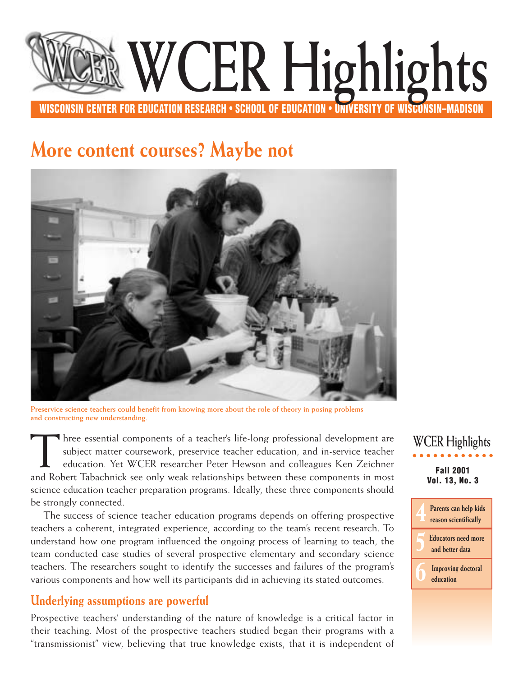# <span id="page-0-0"></span>**WISCONSIN CENTER FOR EDUCATION RESEARCH • SCHOOL OF EDUCATION • UNIVERSITY OF WISCONSIN–MADISON WCER Highlights**

# **More content courses? Maybe not**



**Preservice science teachers could benefit from knowing more about the role of theory in posing problems and constructing new understanding.**

I hree essential components of a teacher's life-long professional development are subject matter coursework, preservice teacher education, and in-service teacher education. Yet WCER researcher Peter Hewson and colleagues Ken Zeichner and Robert Tabachnick see only weak relationships between these components in most science education teacher preparation programs. Ideally, these three components should be strongly connected.

The success of science teacher education programs depends on offering prospective teachers a coherent, integrated experience, according to the team's recent research. To understand how one program influenced the ongoing process of learning to teach, the team conducted case studies of several prospective elementary and secondary science teachers. The researchers sought to identify the successes and failures of the program's various components and how well its participants did in achieving its stated outcomes.

# **Underlying assumptions are powerful**

Prospective teachers' understanding of the nature of knowledge is a critical factor in their teaching. Most of the prospective teachers studied began their programs with a "transmissionist" view, believing that true knowledge exists, that it is independent of

**Fall 2001 Vol. 13, No. 3 WCER Highlights**

> **4 [Parents can help kids](#page-3-0) reason scientifically**

**[5Educators need more](#page-4-0) and better data**

**6 [Improving doctoral](#page-5-0)  education**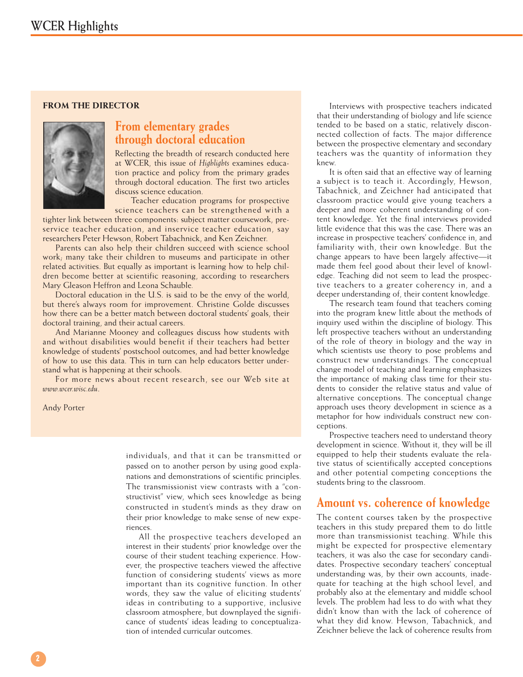#### **FROM THE DIRECTOR**



### **From elementary grades through doctoral education**

Reflecting the breadth of research conducted here at WCER, this issue of *Highlights* examines education practice and policy from the primary grades through doctoral education. The first two articles discuss science education.

Teacher education programs for prospective science teachers can be strengthened with a

tighter link between three components: subject matter coursework, preservice teacher education, and inservice teacher education, say researchers Peter Hewson, Robert Tabachnick, and Ken Zeichner.

Parents can also help their children succeed with science school work; many take their children to museums and participate in other related activities. But equally as important is learning how to help children become better at scientific reasoning, according to researchers Mary Gleason Heffron and Leona Schauble*.* 

Doctoral education in the U.S. is said to be the envy of the world, but there's always room for improvement. Christine Golde discusses how there can be a better match between doctoral students' goals, their doctoral training, and their actual careers.

And Marianne Mooney and colleagues discuss how students with and without disabilities would benefit if their teachers had better knowledge of students' postschool outcomes, and had better knowledge of how to use this data. This in turn can help educators better understand what is happening at their schools.

For more news about recent research, see our Web site at *www.wcer.wisc.edu*.

Andy Porter

individuals, and that it can be transmitted or passed on to another person by using good explanations and demonstrations of scientific principles. The transmissionist view contrasts with a "constructivist" view, which sees knowledge as being constructed in student's minds as they draw on their prior knowledge to make sense of new experiences.

All the prospective teachers developed an interest in their students' prior knowledge over the course of their student teaching experience. However, the prospective teachers viewed the affective function of considering students' views as more important than its cognitive function. In other words, they saw the value of eliciting students' ideas in contributing to a supportive, inclusive classroom atmosphere, but downplayed the significance of students' ideas leading to conceptualization of intended curricular outcomes.

Interviews with prospective teachers indicated that their understanding of biology and life science tended to be based on a static, relatively disconnected collection of facts. The major difference between the prospective elementary and secondary teachers was the quantity of information they knew.

It is often said that an effective way of learning a subject is to teach it. Accordingly, Hewson, Tabachnick, and Zeichner had anticipated that classroom practice would give young teachers a deeper and more coherent understanding of content knowledge. Yet the final interviews provided little evidence that this was the case. There was an increase in prospective teachers' confidence in, and familiarity with, their own knowledge. But the change appears to have been largely affective—it made them feel good about their level of knowledge. Teaching did not seem to lead the prospective teachers to a greater coherency in, and a deeper understanding of, their content knowledge.

The research team found that teachers coming into the program knew little about the methods of inquiry used within the discipline of biology. This left prospective teachers without an understanding of the role of theory in biology and the way in which scientists use theory to pose problems and construct new understandings. The conceptual change model of teaching and learning emphasizes the importance of making class time for their students to consider the relative status and value of alternative conceptions. The conceptual change approach uses theory development in science as a metaphor for how individuals construct new conceptions.

Prospective teachers need to understand theory development in science. Without it, they will be ill equipped to help their students evaluate the relative status of scientifically accepted conceptions and other potential competing conceptions the students bring to the classroom.

### **Amount vs. coherence of knowledge**

The content courses taken by the prospective teachers in this study prepared them to do little more than transmissionist teaching. While this might be expected for prospective elementary teachers, it was also the case for secondary candidates. Prospective secondary teachers' conceptual understanding was, by their own accounts, inadequate for teaching at the high school level, and probably also at the elementary and middle school levels. The problem had less to do with what they didn't know than with the lack of coherence of what they did know. Hewson, Tabachnick, and Zeichner believe the lack of coherence results from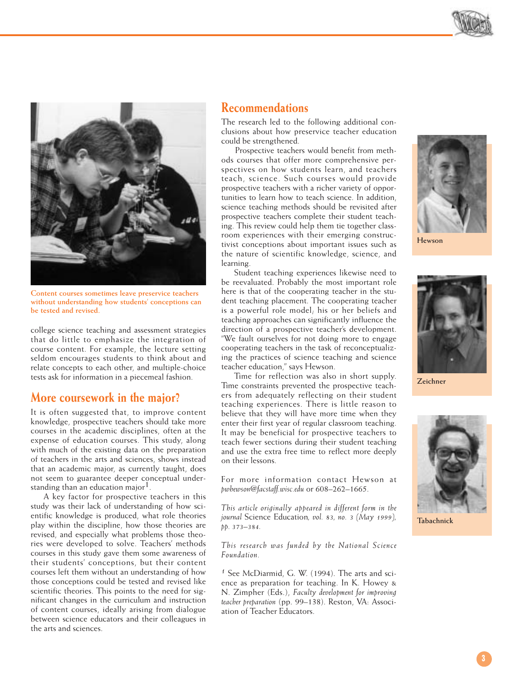



**Content courses sometimes leave preservice teachers without understanding how students' conceptions can be tested and revised.**

college science teaching and assessment strategies that do little to emphasize the integration of course content. For example, the lecture setting seldom encourages students to think about and relate concepts to each other, and multiple-choice tests ask for information in a piecemeal fashion.

### **More coursework in the major?**

It is often suggested that, to improve content knowledge, prospective teachers should take more courses in the academic disciplines, often at the expense of education courses. This study, along with much of the existing data on the preparation of teachers in the arts and sciences, shows instead that an academic major, as currently taught, does not seem to guarantee deeper conceptual understanding than an education major<sup>1</sup>.

A key factor for prospective teachers in this study was their lack of understanding of how scientific knowledge is produced, what role theories play within the discipline, how those theories are revised, and especially what problems those theories were developed to solve. Teachers' methods courses in this study gave them some awareness of their students' conceptions, but their content courses left them without an understanding of how those conceptions could be tested and revised like scientific theories. This points to the need for significant changes in the curriculum and instruction of content courses, ideally arising from dialogue between science educators and their colleagues in the arts and sciences.

## **Recommendations**

The research led to the following additional conclusions about how preservice teacher education could be strengthened.

Prospective teachers would benefit from methods courses that offer more comprehensive perspectives on how students learn, and teachers teach, science. Such courses would provide prospective teachers with a richer variety of opportunities to learn how to teach science. In addition, science teaching methods should be revisited after prospective teachers complete their student teaching. This review could help them tie together classroom experiences with their emerging constructivist conceptions about important issues such as the nature of scientific knowledge, science, and learning.

Student teaching experiences likewise need to be reevaluated. Probably the most important role here is that of the cooperating teacher in the student teaching placement. The cooperating teacher is a powerful role model; his or her beliefs and teaching approaches can significantly influence the direction of a prospective teacher's development. "We fault ourselves for not doing more to engage cooperating teachers in the task of reconceptualizing the practices of science teaching and science teacher education," says Hewson.

Time for reflection was also in short supply. Time constraints prevented the prospective teachers from adequately reflecting on their student teaching experiences. There is little reason to believe that they will have more time when they enter their first year of regular classroom teaching. It may be beneficial for prospective teachers to teach fewer sections during their student teaching and use the extra free time to reflect more deeply on their lessons.

For more information contact Hewson at *pwhewson@facstaff.wisc.edu* or 608–262–1665.

*This article originally appeared in different form in the journal* Science Education*, vol. 83, no. 3 (May 1999), pp. 373–384.*

*This research was funded by the National Science Foundation.* 

*1* See McDiarmid, G. W. (1994). The arts and science as preparation for teaching. In K. Howey & N. Zimpher (Eds.), *Faculty development for improving teacher preparation* (pp. 99–138). Reston, VA: Association of Teacher Educators.



**Hewson**



**Zeichner**



**Tabachnick**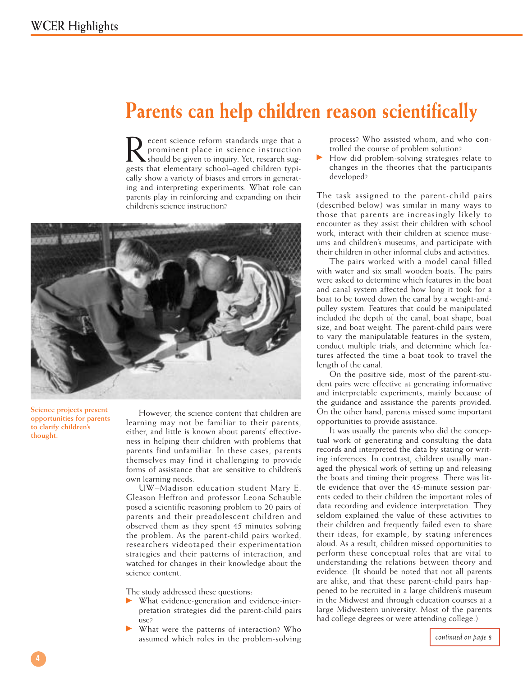# <span id="page-3-0"></span>**Parents can help children reason scientifically**

Recent science reform standards urge that a<br>prominent place in science instruction<br>should be given to inquiry. Yet, research sug-<br>gests that elementary school-aged children typiprominent place in science instruction should be given to inquiry. Yet, research suggests that elementary school–aged children typically show a variety of biases and errors in generating and interpreting experiments. What role can parents play in reinforcing and expanding on their children's science instruction?



**Science projects present opportunities for parents to clarify children's thought.**

However, the science content that children are learning may not be familiar to their parents, either, and little is known about parents' effectiveness in helping their children with problems that parents find unfamiliar. In these cases, parents themselves may find it challenging to provide forms of assistance that are sensitive to children's own learning needs.

UW–Madison education student Mary E. Gleason Heffron and professor Leona Schauble posed a scientific reasoning problem to 20 pairs of parents and their preadolescent children and observed them as they spent 45 minutes solving the problem. As the parent-child pairs worked, researchers videotaped their experimentation strategies and their patterns of interaction, and watched for changes in their knowledge about the science content.

The study addressed these questions:

- What evidence-generation and evidence-interpretation strategies did the parent-child pairs use?
- What were the patterns of interaction? Who assumed which roles in the problem-solving

process? Who assisted whom, and who controlled the course of problem solution?

How did problem-solving strategies relate to changes in the theories that the participants developed?

The task assigned to the parent-child pairs (described below) was similar in many ways to those that parents are increasingly likely to encounter as they assist their children with school work, interact with their children at science museums and children's museums, and participate with their children in other informal clubs and activities.

The pairs worked with a model canal filled with water and six small wooden boats. The pairs were asked to determine which features in the boat and canal system affected how long it took for a boat to be towed down the canal by a weight-andpulley system. Features that could be manipulated included the depth of the canal, boat shape, boat size, and boat weight. The parent-child pairs were to vary the manipulatable features in the system, conduct multiple trials, and determine which features affected the time a boat took to travel the length of the canal.

On the positive side, most of the parent-student pairs were effective at generating informative and interpretable experiments, mainly because of the guidance and assistance the parents provided. On the other hand, parents missed some important opportunities to provide assistance.

It was usually the parents who did the conceptual work of generating and consulting the data records and interpreted the data by stating or writing inferences. In contrast, children usually managed the physical work of setting up and releasing the boats and timing their progress. There was little evidence that over the 45-minute session parents ceded to their children the important roles of data recording and evidence interpretation. They seldom explained the value of these activities to their children and frequently failed even to share their ideas, for example, by stating inferences aloud. As a result, children missed opportunities to perform these conceptual roles that are vital to understanding the relations between theory and evidence. (It should be noted that not all parents are alike, and that these parent-child pairs happened to be recruited in a large children's museum in the Midwest and through education courses at a large Midwestern university. Most of the parents had college degrees or were attending college.)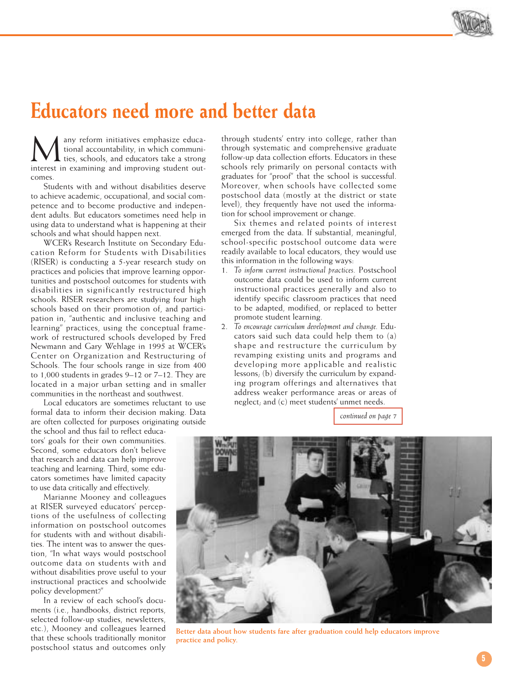

# <span id="page-4-0"></span>**Educators need more and better data**

**M** any reform initiatives emphasize educa-<br>ties, schools, and educators take a strong<br>interest in examining and improving student outtional accountability, in which communiinterest in examining and improving student outcomes.

Students with and without disabilities deserve to achieve academic, occupational, and social competence and to become productive and independent adults. But educators sometimes need help in using data to understand what is happening at their schools and what should happen next.

WCER's Research Institute on Secondary Education Reform for Students with Disabilities (RISER) is conducting a 5-year research study on practices and policies that improve learning opportunities and postschool outcomes for students with disabilities in significantly restructured high schools. RISER researchers are studying four high schools based on their promotion of, and participation in, "authentic and inclusive teaching and learning" practices, using the conceptual framework of restructured schools developed by Fred Newmann and Gary Wehlage in 1995 at WCER's Center on Organization and Restructuring of Schools. The four schools range in size from 400 to 1,000 students in grades 9–12 or 7–12. They are located in a major urban setting and in smaller communities in the northeast and southwest.

Local educators are sometimes reluctant to use formal data to inform their decision making. Data are often collected for purposes originating outside

the school and thus fail to reflect educators' goals for their own communities. Second, some educators don't believe that research and data can help improve teaching and learning. Third, some educators sometimes have limited capacity to use data critically and effectively.

Marianne Mooney and colleagues at RISER surveyed educators' perceptions of the usefulness of collecting information on postschool outcomes for students with and without disabilities. The intent was to answer the question, "In what ways would postschool outcome data on students with and without disabilities prove useful to your instructional practices and schoolwide policy development?"

In a review of each school's documents (i.e., handbooks, district reports, selected follow-up studies, newsletters, etc.), Mooney and colleagues learned that these schools traditionally monitor postschool status and outcomes only

through students' entry into college, rather than through systematic and comprehensive graduate follow-up data collection efforts. Educators in these schools rely primarily on personal contacts with graduates for "proof" that the school is successful. Moreover, when schools have collected some postschool data (mostly at the district or state level), they frequently have not used the information for school improvement or change.

Six themes and related points of interest emerged from the data. If substantial, meaningful, school-specific postschool outcome data were readily available to local educators, they would use this information in the following ways:

- 1. *To inform current instructional practices.* Postschool outcome data could be used to inform current instructional practices generally and also to identify specific classroom practices that need to be adapted, modified, or replaced to better promote student learning.
- 2. *To encourage curriculum development and change.* Educators said such data could help them to (a) shape and restructure the curriculum by revamping existing units and programs and developing more applicable and realistic lessons; (b) diversify the curriculum by expanding program offerings and alternatives that address weaker performance areas or areas of neglect; and (c) meet students' unmet needs.

*[continued on page 7](#page-6-0)*



**Better data about how students fare after graduation could help educators improve practice and policy.**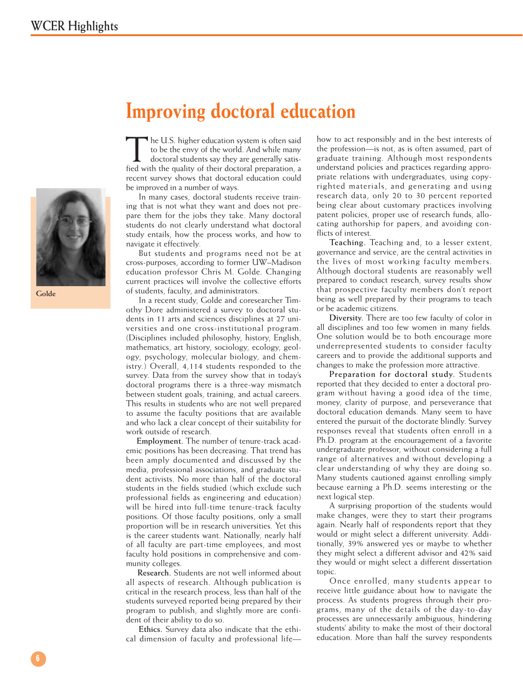

**Golde**

# <span id="page-5-0"></span>**Improving doctoral education**

The U.S. higher education system is often said to be the envy of the world. And while many doctoral students say they are generally satisfied with the quality of their doctoral preparation, a recent survey shows that doctoral education could be improved in a number of ways.

In many cases, doctoral students receive training that is not what they want and does not prepare them for the jobs they take. Many doctoral students do not clearly understand what doctoral study entails, how the process works, and how to navigate it effectively.

But students and programs need not be at cross-purposes, according to former UW–Madison education professor Chris M. Golde. Changing current practices will involve the collective efforts of students, faculty, and administrators.

In a recent study, Golde and coresearcher Timothy Dore administered a survey to doctoral students in 11 arts and sciences disciplines at 27 universities and one cross-institutional program. (Disciplines included philosophy, history, English, mathematics, art history, sociology, ecology, geology, psychology, molecular biology, and chemistry.) Overall, 4,114 students responded to the survey. Data from the survey show that in today's doctoral programs there is a three-way mismatch between student goals, training, and actual careers. This results in students who are not well prepared to assume the faculty positions that are available and who lack a clear concept of their suitability for work outside of research.

**Employment.** The number of tenure-track academic positions has been decreasing. That trend has been amply documented and discussed by the media, professional associations, and graduate student activists. No more than half of the doctoral students in the fields studied (which exclude such professional fields as engineering and education) will be hired into full-time tenure-track faculty positions. Of those faculty positions, only a small proportion will be in research universities. Yet this is the career students want. Nationally, nearly half of all faculty are part-time employees, and most faculty hold positions in comprehensive and community colleges.

**Research.** Students are not well informed about all aspects of research. Although publication is critical in the research process, less than half of the students surveyed reported being prepared by their program to publish, and slightly more are confident of their ability to do so.

**Ethics.** Survey data also indicate that the ethical dimension of faculty and professional life—

how to act responsibly and in the best interests of the profession—is not, as is often assumed, part of graduate training. Although most respondents understand policies and practices regarding appropriate relations with undergraduates, using copyrighted materials, and generating and using research data, only 20 to 30 percent reported being clear about customary practices involving patent policies, proper use of research funds, allocating authorship for papers, and avoiding conflicts of interest.

**Teaching.** Teaching and, to a lesser extent, governance and service, are the central activities in the lives of most working faculty members. Although doctoral students are reasonably well prepared to conduct research, survey results show that prospective faculty members don't report being as well prepared by their programs to teach or be academic citizens.

**Diversity.** There are too few faculty of color in all disciplines and too few women in many fields. One solution would be to both encourage more underrepresented students to consider faculty careers and to provide the additional supports and changes to make the profession more attractive.

**Preparation for doctoral study.** Students reported that they decided to enter a doctoral program without having a good idea of the time, money, clarity of purpose, and perseverance that doctoral education demands. Many seem to have entered the pursuit of the doctorate blindly. Survey responses reveal that students often enroll in a Ph.D. program at the encouragement of a favorite undergraduate professor, without considering a full range of alternatives and without developing a clear understanding of why they are doing so. Many students cautioned against enrolling simply because earning a Ph.D. seems interesting or the next logical step.

A surprising proportion of the students would make changes, were they to start their programs again. Nearly half of respondents report that they would or might select a different university. Additionally, 39% answered yes or maybe to whether they might select a different advisor and 42% said they would or might select a different dissertation topic.

Once enrolled, many students appear to receive little guidance about how to navigate the process. As students progress through their programs, many of the details of the day-to-day processes are unnecessarily ambiguous, hindering students' ability to make the most of their doctoral education. More than half the survey respondents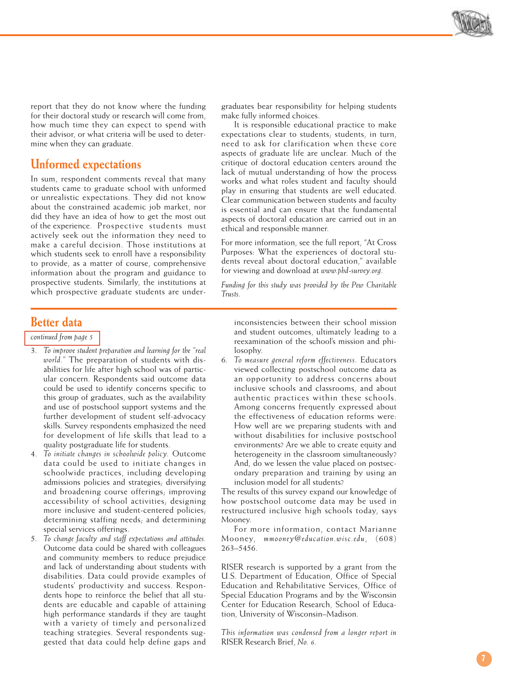

<span id="page-6-0"></span>report that they do not know where the funding for their doctoral study or research will come from, how much time they can expect to spend with their advisor, or what criteria will be used to determine when they can graduate.

## **Unformed expectations**

In sum, respondent comments reveal that many students came to graduate school with unformed or unrealistic expectations. They did not know about the constrained academic job market, nor did they have an idea of how to get the most out of the experience. Prospective students must actively seek out the information they need to make a careful decision. Those institutions at which students seek to enroll have a responsibility to provide, as a matter of course, comprehensive information about the program and guidance to prospective students. Similarly, the institutions at which prospective graduate students are under-

#### graduates bear responsibility for helping students make fully informed choices.

It is responsible educational practice to make expectations clear to students; students, in turn, need to ask for clarification when these core aspects of graduate life are unclear. Much of the critique of doctoral education centers around the lack of mutual understanding of how the process works and what roles student and faculty should play in ensuring that students are well educated. Clear communication between students and faculty is essential and can ensure that the fundamental aspects of doctoral education are carried out in an ethical and responsible manner.

For more information, see the full report, "At Cross Purposes: What the experiences of doctoral students reveal about doctoral education," available for viewing and download at *www.phd-survey.org* .

*Funding for this study was provided by the Pew Charitable Trusts.*

# **Better data**

*[continued from page 5](#page-4-0)* 

- 3. *To improve student preparation and learning for the "real world."* The preparation of students with disabilities for life after high school was of particular concern. Respondents said outcome data could be used to identify concerns specific to this group of graduates, such as the availability and use of postschool support systems and the further development of student self-advocacy skills. Survey respondents emphasized the need for development of life skills that lead to a quality postgraduate life for students.
- 4. *To initiate changes in schoolwide policy.* Outcome data could be used to initiate changes in schoolwide practices, including developing admissions policies and strategies; diversifying and broadening course offerings; improving accessibility of school activities; designing more inclusive and student-centered policies; determining staffing needs; and determining special services offerings.
- 5. *To change faculty and staff expectations and attitudes.* Outcome data could be shared with colleagues and community members to reduce prejudice and lack of understanding about students with disabilities. Data could provide examples of students' productivity and success. Respondents hope to reinforce the belief that all students are educable and capable of attaining high performance standards if they are taught with a variety of timely and personalized teaching strategies. Several respondents suggested that data could help define gaps and

inconsistencies between their school mission and student outcomes, ultimately leading to a reexamination of the school's mission and philosophy.

6. *To measure general reform effectiveness.* Educators viewed collecting postschool outcome data as an opportunity to address concerns about inclusive schools and classrooms, and about authentic practices within these schools. Among concerns frequently expressed about the effectiveness of education reforms were: How well are we preparing students with and without disabilities for inclusive postschool environments? Are we able to create equity and heterogeneity in the classroom simultaneously? And, do we lessen the value placed on postsecondary preparation and training by using an inclusion model for all students?

The results of this survey expand our knowledge of how postschool outcome data may be used in restructured inclusive high schools today, says Mooney.

For more information, contact Marianne Mooney, *mmooney@education.wisc.edu*, (608) 263–5456.

RISER research is supported by a grant from the U.S. Department of Education, Office of Special Education and Rehabilitative Services, Office of Special Education Programs and by the Wisconsin Center for Education Research, School of Education, University of Wisconsin–Madison.

*This information was condensed from a longer report in* RISER Research Brief, *No. 6.*